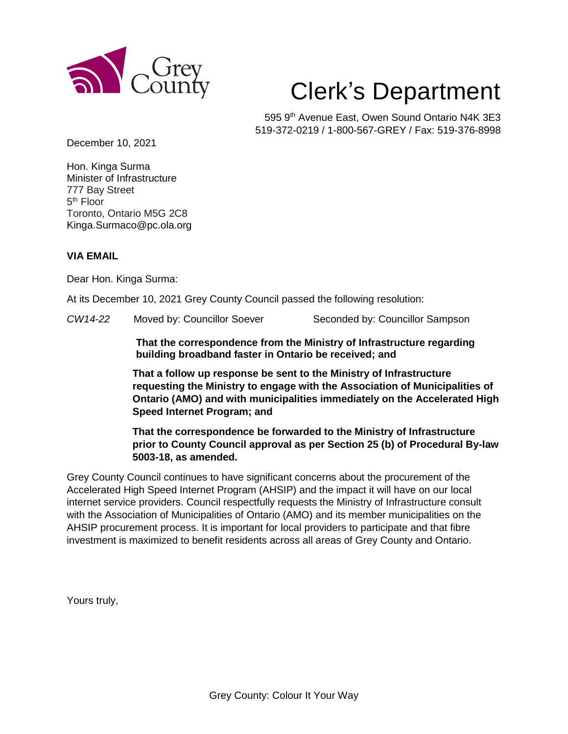

## Clerk's Department

595 9<sup>th</sup> Avenue East, Owen Sound Ontario N4K 3E3 519-372-0219 / 1-800-567-GREY / Fax: 519-376-8998

December 10, 2021

Hon. Kinga Surma Minister of Infrastructure 777 Bay Street 5<sup>th</sup> Floor Toronto, Ontario M5G 2C8 Kinga.Surmaco@pc.ola.org

## **VIA EMAIL**

Dear Hon. Kinga Surma:

At its December 10, 2021 Grey County Council passed the following resolution:

*CW14-22* Moved by: Councillor Soever Seconded by: Councillor Sampson

**That the correspondence from the Ministry of Infrastructure regarding building broadband faster in Ontario be received; and**

**That a follow up response be sent to the Ministry of Infrastructure requesting the Ministry to engage with the Association of Municipalities of Ontario (AMO) and with municipalities immediately on the Accelerated High Speed Internet Program; and**

**That the correspondence be forwarded to the Ministry of Infrastructure prior to County Council approval as per Section 25 (b) of Procedural By-law 5003-18, as amended.** 

Grey County Council continues to have significant concerns about the procurement of the Accelerated High Speed Internet Program (AHSIP) and the impact it will have on our local internet service providers. Council respectfully requests the Ministry of Infrastructure consult with the Association of Municipalities of Ontario (AMO) and its member municipalities on the AHSIP procurement process. It is important for local providers to participate and that fibre investment is maximized to benefit residents across all areas of Grey County and Ontario.

Yours truly,